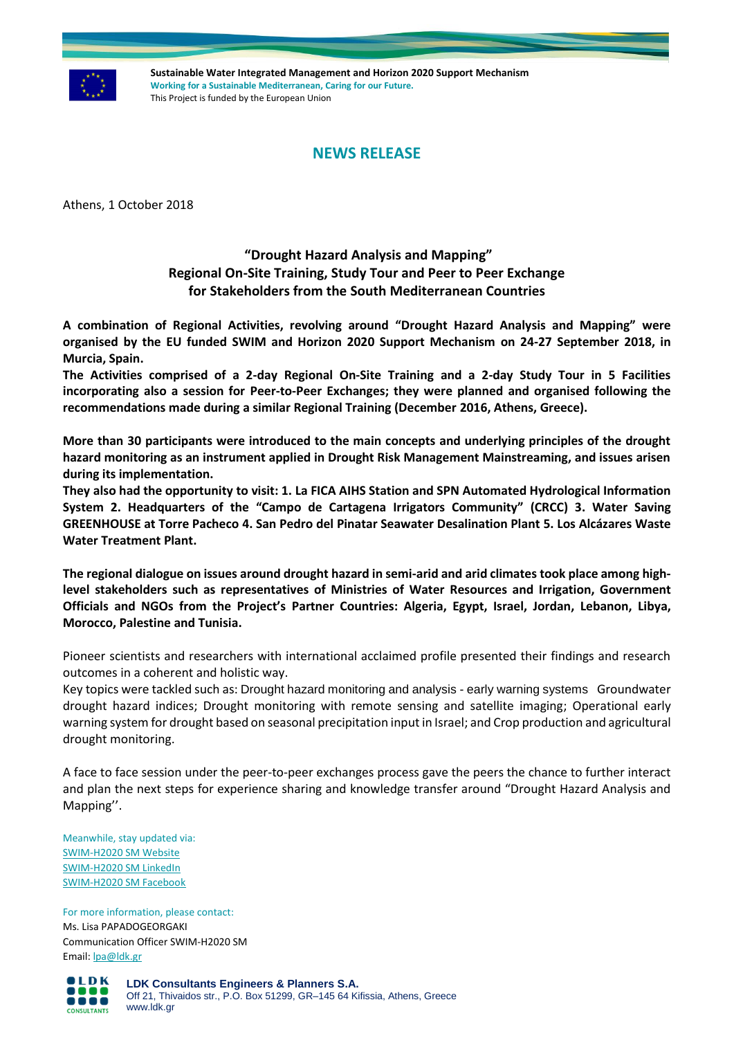

**Sustainable Water Integrated Management and Horizon 2020 Support Mechanism Working for a Sustainable Mediterranean, Caring for our Future.**  This Project is funded by the European Union

## **NEWS RELEASE**

Athens, 1 October 2018

## **"Drought Hazard Analysis and Mapping" Regional On-Site Training, Study Tour and Peer to Peer Exchange for Stakeholders from the South Mediterranean Countries**

**A combination of Regional Activities, revolving around "Drought Hazard Analysis and Mapping" were organised by the EU funded SWIM and Horizon 2020 Support Mechanism on 24-27 September 2018, in Murcia, Spain.** 

**The Activities comprised of a 2-day Regional On-Site Training and a 2-day Study Tour in 5 Facilities incorporating also a session for Peer-to-Peer Exchanges; they were planned and organised following the recommendations made during a similar Regional Training (December 2016, Athens, Greece).**

**More than 30 participants were introduced to the main concepts and underlying principles of the drought hazard monitoring as an instrument applied in Drought Risk Management Mainstreaming, and issues arisen during its implementation.** 

**They also had the opportunity to visit: 1. La FICA AIHS Station and SPN Automated Hydrological Information System 2. Headquarters of the "Campo de Cartagena Irrigators Community" (CRCC) 3. Water Saving GREENHOUSE at Torre Pacheco 4. San Pedro del Pinatar Seawater Desalination Plant 5. Los Alcázares Waste Water Treatment Plant.**

**The regional dialogue on issues around drought hazard in semi-arid and arid climates took place among highlevel stakeholders such as representatives of Ministries of Water Resources and Irrigation, Government Officials and NGOs from the Project's Partner Countries: Algeria, Egypt, Israel, Jordan, Lebanon, Libya, Morocco, Palestine and Tunisia.** 

Pioneer scientists and researchers with international acclaimed profile presented their findings and research outcomes in a coherent and holistic way.

Key topics were tackled such as: Drought hazard monitoring and analysis - early warning systems Groundwater drought hazard indices; Drought monitoring with remote sensing and satellite imaging; Operational early warning system for drought based on seasonal precipitation input in Israel; and Crop production and agricultural drought monitoring.

A face to face session under the peer-to-peer exchanges process gave the peers the chance to further interact and plan the next steps for experience sharing and knowledge transfer around "Drought Hazard Analysis and Mapping''.

Meanwhile, stay updated via: [SWIM-H2020 SM Website](http://www.swim-h2020.eu/) [SWIM-H2020 SM LinkedIn](https://www.linkedin.com/company/swim-h2020-sm-project?trk=top_nav_home) [SWIM-H2020 SM Facebook](https://www.facebook.com/Swim-H2020-SM-Project-517590438434444/)

For more information, please contact: Ms. Lisa PAPADOGEORGAKI Communication Officer SWIM-H2020 SM Email[: lpa@ldk.gr](mailto:lpa@ldk.gr)